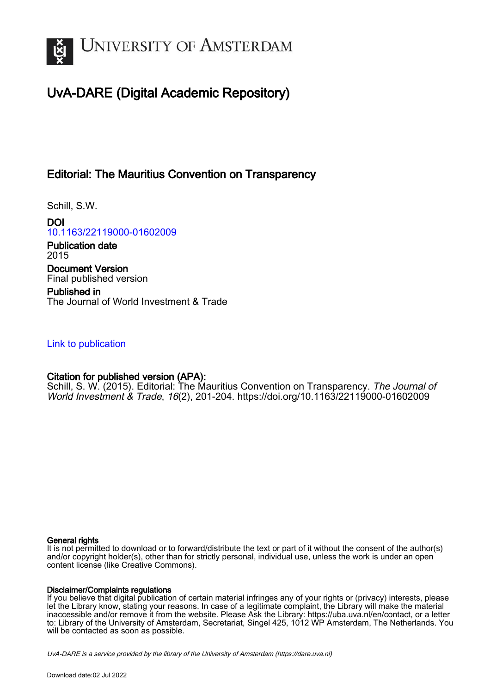

# UvA-DARE (Digital Academic Repository)

## Editorial: The Mauritius Convention on Transparency

Schill, S.W.

DOI [10.1163/22119000-01602009](https://doi.org/10.1163/22119000-01602009)

Publication date 2015 Document Version Final published version

Published in The Journal of World Investment & Trade

### [Link to publication](https://dare.uva.nl/personal/pure/en/publications/editorial-the-mauritius-convention-on-transparency(dd0d6f2d-b42d-4855-9a96-3b7115bd5006).html)

## Citation for published version (APA):

Schill, S. W. (2015). Editorial: The Mauritius Convention on Transparency. The Journal of World Investment & Trade, 16(2), 201-204.<https://doi.org/10.1163/22119000-01602009>

#### General rights

It is not permitted to download or to forward/distribute the text or part of it without the consent of the author(s) and/or copyright holder(s), other than for strictly personal, individual use, unless the work is under an open content license (like Creative Commons).

#### Disclaimer/Complaints regulations

If you believe that digital publication of certain material infringes any of your rights or (privacy) interests, please let the Library know, stating your reasons. In case of a legitimate complaint, the Library will make the material inaccessible and/or remove it from the website. Please Ask the Library: https://uba.uva.nl/en/contact, or a letter to: Library of the University of Amsterdam, Secretariat, Singel 425, 1012 WP Amsterdam, The Netherlands. You will be contacted as soon as possible.

UvA-DARE is a service provided by the library of the University of Amsterdam (http*s*://dare.uva.nl)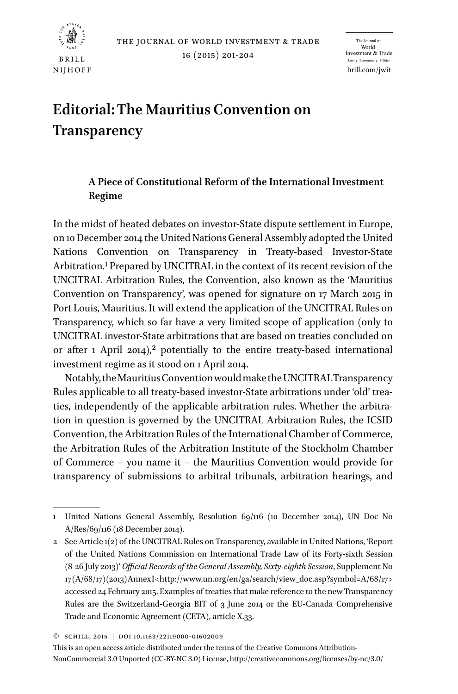

16 (2015) 201-204

brill.com/jwit The Journal of World Investment & Trade  $mics$   $\rightarrow$  Po

# **Editorial: The Mauritius Convention on Transparency**

### **A Piece of Constitutional Reform of the International Investment Regime**

In the midst of heated debates on investor-State dispute settlement in Europe, on 10 December 2014 the United Nations General Assembly adopted the United Nations Convention on Transparency in Treaty-based Investor-State Arbitration.1 Prepared by UNCITRAL in the context of its recent revision of the UNCITRAL Arbitration Rules, the Convention, also known as the 'Mauritius Convention on Transparency', was opened for signature on 17 March 2015 in Port Louis, Mauritius. It will extend the application of the UNCITRAL Rules on Transparency, which so far have a very limited scope of application (only to UNCITRAL investor-State arbitrations that are based on treaties concluded on or after 1 April 2014),<sup>2</sup> potentially to the entire treaty-based international investment regime as it stood on 1 April 2014.

Notably, the Mauritius Convention would make the UNCITRAL Transparency Rules applicable to all treaty-based investor-State arbitrations under 'old' treaties, independently of the applicable arbitration rules. Whether the arbitration in question is governed by the UNCITRAL Arbitration Rules, the ICSID Convention, the Arbitration Rules of the International Chamber of Commerce, the Arbitration Rules of the Arbitration Institute of the Stockholm Chamber of Commerce – you name it – the Mauritius Convention would provide for transparency of submissions to arbitral tribunals, arbitration hearings, and

<sup>1</sup> United Nations General Assembly, Resolution 69/116 (10 December 2014), UN Doc No A/Res/69/116 (18 December 2014).

<sup>2</sup> See Article 1(2) of the UNCITRAL Rules on Transparency, available in United Nations, 'Report of the United Nations Commission on International Trade Law of its Forty-sixth Session (8-26 July 2013)' *Official Records of the General Assembly, Sixty-eighth Session*, Supplement No 17 (A/68/17) (2013) Annex I [<http://www.un.org/en/ga/search/view\\_doc.asp?symbol=A/68/17>](http://www.un.org/en/ga/search/view_doc.asp?symbol=A/68/17) accessed 24 February 2015. Examples of treaties that make reference to the new Transparency Rules are the Switzerland-Georgia BIT of 3 June 2014 or the EU-Canada Comprehensive Trade and Economic Agreement (CETA), article X.33.

<sup>©</sup> Schill, 2015 | doi 10.1163/22119000-01602009

This is an open access article distributed under the terms of the Creative Commons Attribution-NonCommercial 3.0 Unported (CC-BY-NC 3.0) License,<http://creativecommons.org/licenses/by-nc/3.0/>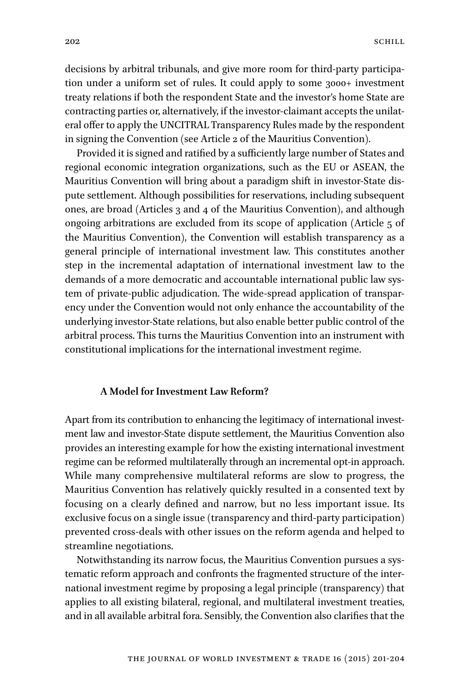decisions by arbitral tribunals, and give more room for third-party participation under a uniform set of rules. It could apply to some 3000+ investment treaty relations if both the respondent State and the investor's home State are contracting parties or, alternatively, if the investor-claimant accepts the unilateral offer to apply the UNCITRAL Transparency Rules made by the respondent in signing the Convention (see Article 2 of the Mauritius Convention).

Provided it is signed and ratified by a sufficiently large number of States and regional economic integration organizations, such as the EU or ASEAN, the Mauritius Convention will bring about a paradigm shift in investor-State dispute settlement. Although possibilities for reservations, including subsequent ones, are broad (Articles 3 and 4 of the Mauritius Convention), and although ongoing arbitrations are excluded from its scope of application (Article 5 of the Mauritius Convention), the Convention will establish transparency as a general principle of international investment law. This constitutes another step in the incremental adaptation of international investment law to the demands of a more democratic and accountable international public law system of private-public adjudication. The wide-spread application of transparency under the Convention would not only enhance the accountability of the underlying investor-State relations, but also enable better public control of the arbitral process. This turns the Mauritius Convention into an instrument with constitutional implications for the international investment regime.

#### **A Model for Investment Law Reform?**

Apart from its contribution to enhancing the legitimacy of international investment law and investor-State dispute settlement, the Mauritius Convention also provides an interesting example for how the existing international investment regime can be reformed multilaterally through an incremental opt-in approach. While many comprehensive multilateral reforms are slow to progress, the Mauritius Convention has relatively quickly resulted in a consented text by focusing on a clearly defined and narrow, but no less important issue. Its exclusive focus on a single issue (transparency and third-party participation) prevented cross-deals with other issues on the reform agenda and helped to streamline negotiations.

Notwithstanding its narrow focus, the Mauritius Convention pursues a systematic reform approach and confronts the fragmented structure of the international investment regime by proposing a legal principle (transparency) that applies to all existing bilateral, regional, and multilateral investment treaties, and in all available arbitral fora. Sensibly, the Convention also clarifies that the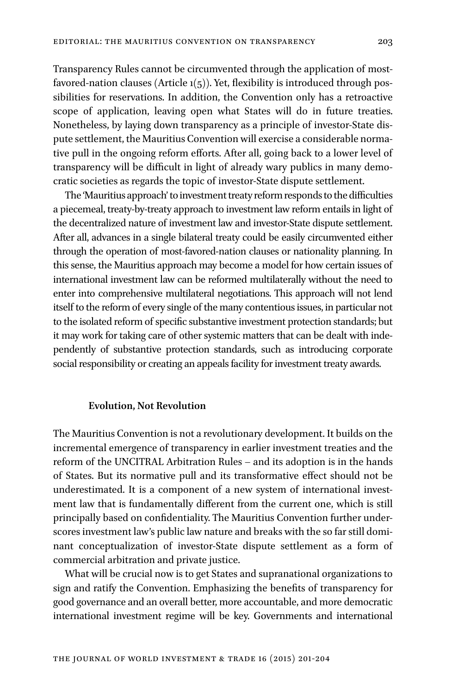Transparency Rules cannot be circumvented through the application of mostfavored-nation clauses (Article  $1(5)$ ). Yet, flexibility is introduced through possibilities for reservations. In addition, the Convention only has a retroactive scope of application, leaving open what States will do in future treaties. Nonetheless, by laying down transparency as a principle of investor-State dispute settlement, the Mauritius Convention will exercise a considerable normative pull in the ongoing reform efforts. After all, going back to a lower level of transparency will be difficult in light of already wary publics in many democratic societies as regards the topic of investor-State dispute settlement.

The 'Mauritius approach' to investment treaty reform responds to the difficulties a piecemeal, treaty-by-treaty approach to investment law reform entails in light of the decentralized nature of investment law and investor-State dispute settlement. After all, advances in a single bilateral treaty could be easily circumvented either through the operation of most-favored-nation clauses or nationality planning. In this sense, the Mauritius approach may become a model for how certain issues of international investment law can be reformed multilaterally without the need to enter into comprehensive multilateral negotiations. This approach will not lend itself to the reform of every single of the many contentious issues, in particular not to the isolated reform of specific substantive investment protection standards; but it may work for taking care of other systemic matters that can be dealt with independently of substantive protection standards, such as introducing corporate social responsibility or creating an appeals facility for investment treaty awards.

#### **Evolution, Not Revolution**

The Mauritius Convention is not a revolutionary development. It builds on the incremental emergence of transparency in earlier investment treaties and the reform of the UNCITRAL Arbitration Rules – and its adoption is in the hands of States. But its normative pull and its transformative effect should not be underestimated. It is a component of a new system of international investment law that is fundamentally different from the current one, which is still principally based on confidentiality. The Mauritius Convention further underscores investment law's public law nature and breaks with the so far still dominant conceptualization of investor-State dispute settlement as a form of commercial arbitration and private justice.

What will be crucial now is to get States and supranational organizations to sign and ratify the Convention. Emphasizing the benefits of transparency for good governance and an overall better, more accountable, and more democratic international investment regime will be key. Governments and international